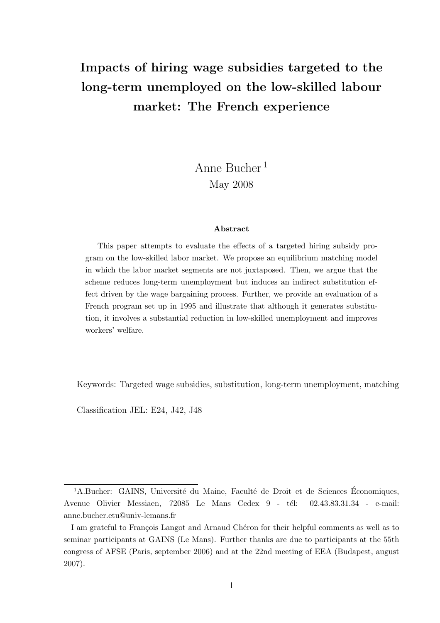# Impacts of hiring wage subsidies targeted to the long-term unemployed on the low-skilled labour market: The French experience

# Anne Bucher <sup>1</sup> May 2008

#### Abstract

This paper attempts to evaluate the effects of a targeted hiring subsidy program on the low-skilled labor market. We propose an equilibrium matching model in which the labor market segments are not juxtaposed. Then, we argue that the scheme reduces long-term unemployment but induces an indirect substitution effect driven by the wage bargaining process. Further, we provide an evaluation of a French program set up in 1995 and illustrate that although it generates substitution, it involves a substantial reduction in low-skilled unemployment and improves workers' welfare.

Keywords: Targeted wage subsidies, substitution, long-term unemployment, matching

Classification JEL: E24, J42, J48

 $14$ .Bucher: GAINS, Université du Maine, Faculté de Droit et de Sciences Économiques, Avenue Olivier Messiaen, 72085 Le Mans Cedex 9 - tél: 02.43.83.31.34 - e-mail: anne.bucher.etu@univ-lemans.fr

I am grateful to François Langot and Arnaud Chéron for their helpful comments as well as to seminar participants at GAINS (Le Mans). Further thanks are due to participants at the 55th congress of AFSE (Paris, september 2006) and at the 22nd meeting of EEA (Budapest, august 2007).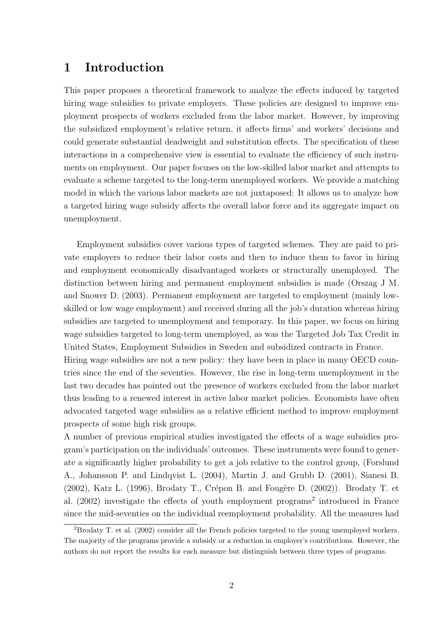## 1 Introduction

This paper proposes a theoretical framework to analyze the effects induced by targeted hiring wage subsidies to private employers. These policies are designed to improve employment prospects of workers excluded from the labor market. However, by improving the subsidized employment's relative return, it affects firms' and workers' decisions and could generate substantial deadweight and substitution effects. The specification of these interactions in a comprehensive view is essential to evaluate the efficiency of such instruments on employment. Our paper focuses on the low-skilled labor market and attempts to evaluate a scheme targeted to the long-term unemployed workers. We provide a matching model in which the various labor markets are not juxtaposed: It allows us to analyze how a targeted hiring wage subsidy affects the overall labor force and its aggregate impact on unemployment.

Employment subsidies cover various types of targeted schemes. They are paid to private employers to reduce their labor costs and then to induce them to favor in hiring and employment economically disadvantaged workers or structurally unemployed. The distinction between hiring and permanent employment subsidies is made (Orszag J M. and Snower D. (2003). Permanent employment are targeted to employment (mainly lowskilled or low wage employment) and received during all the job's duration whereas hiring subsidies are targeted to unemployment and temporary. In this paper, we focus on hiring wage subsidies targeted to long-term unemployed, as was the Targeted Job Tax Credit in United States, Employment Subsidies in Sweden and subsidized contracts in France. Hiring wage subsidies are not a new policy: they have been in place in many OECD countries since the end of the seventies. However, the rise in long-term unemployment in the last two decades has pointed out the presence of workers excluded from the labor market thus leading to a renewed interest in active labor market policies. Economists have often advocated targeted wage subsidies as a relative efficient method to improve employment prospects of some high risk groups.

A number of previous empirical studies investigated the effects of a wage subsidies program's participation on the individuals' outcomes. These instruments were found to generate a significantly higher probability to get a job relative to the control group, (Forslund A., Johansson P. and Lindqvist L. (2004), Martin J. and Grubb D. (2001), Sianesi B.  $(2002)$ , Katz L.  $(1996)$ , Brodaty T., Crépon B. and Fougère D.  $(2002)$ ). Brodaty T. et al. (2002) investigate the effects of youth employment programs<sup>2</sup> introduced in France since the mid-seventies on the individual reemployment probability. All the measures had

<sup>&</sup>lt;sup>2</sup>Brodaty T. et al. (2002) consider all the French policies targeted to the young unemployed workers. The majority of the programs provide a subsidy or a reduction in employer's contributions. However, the authors do not report the results for each measure but distinguish between three types of programs.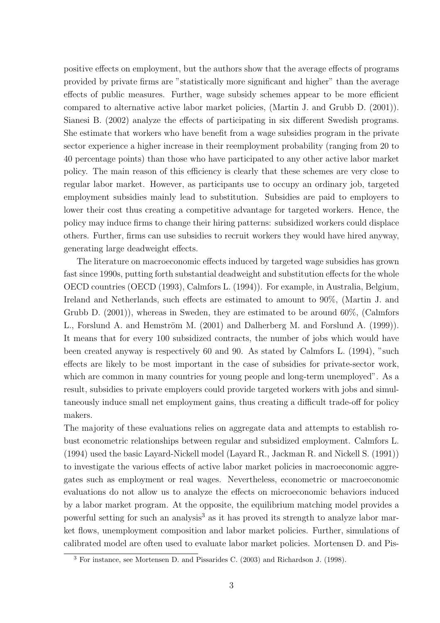positive effects on employment, but the authors show that the average effects of programs provided by private firms are "statistically more significant and higher" than the average effects of public measures. Further, wage subsidy schemes appear to be more efficient compared to alternative active labor market policies, (Martin J. and Grubb D. (2001)). Sianesi B. (2002) analyze the effects of participating in six different Swedish programs. She estimate that workers who have benefit from a wage subsidies program in the private sector experience a higher increase in their reemployment probability (ranging from 20 to 40 percentage points) than those who have participated to any other active labor market policy. The main reason of this efficiency is clearly that these schemes are very close to regular labor market. However, as participants use to occupy an ordinary job, targeted employment subsidies mainly lead to substitution. Subsidies are paid to employers to lower their cost thus creating a competitive advantage for targeted workers. Hence, the policy may induce firms to change their hiring patterns: subsidized workers could displace others. Further, firms can use subsidies to recruit workers they would have hired anyway, generating large deadweight effects.

The literature on macroeconomic effects induced by targeted wage subsidies has grown fast since 1990s, putting forth substantial deadweight and substitution effects for the whole OECD countries (OECD (1993), Calmfors L. (1994)). For example, in Australia, Belgium, Ireland and Netherlands, such effects are estimated to amount to 90%, (Martin J. and Grubb D. (2001)), whereas in Sweden, they are estimated to be around 60%, (Calmfors L., Forslund A. and Hemström M. (2001) and Dalherberg M. and Forslund A. (1999). It means that for every 100 subsidized contracts, the number of jobs which would have been created anyway is respectively 60 and 90. As stated by Calmfors L. (1994), "such effects are likely to be most important in the case of subsidies for private-sector work, which are common in many countries for young people and long-term unemployed". As a result, subsidies to private employers could provide targeted workers with jobs and simultaneously induce small net employment gains, thus creating a difficult trade-off for policy makers.

The majority of these evaluations relies on aggregate data and attempts to establish robust econometric relationships between regular and subsidized employment. Calmfors L. (1994) used the basic Layard-Nickell model (Layard R., Jackman R. and Nickell S. (1991)) to investigate the various effects of active labor market policies in macroeconomic aggregates such as employment or real wages. Nevertheless, econometric or macroeconomic evaluations do not allow us to analyze the effects on microeconomic behaviors induced by a labor market program. At the opposite, the equilibrium matching model provides a powerful setting for such an analysis<sup>3</sup> as it has proved its strength to analyze labor market flows, unemployment composition and labor market policies. Further, simulations of calibrated model are often used to evaluate labor market policies. Mortensen D. and Pis-

<sup>3</sup> For instance, see Mortensen D. and Pissarides C. (2003) and Richardson J. (1998).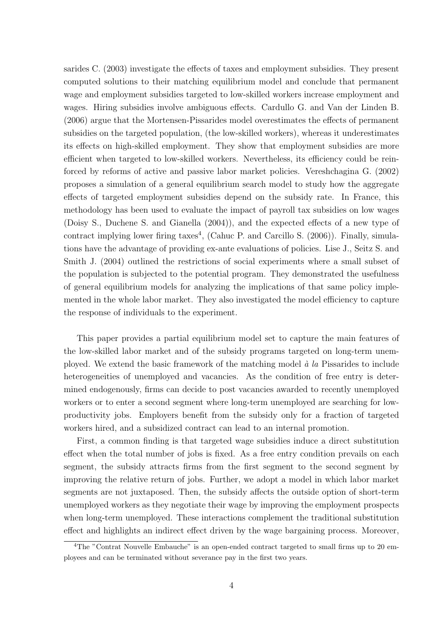sarides C. (2003) investigate the effects of taxes and employment subsidies. They present computed solutions to their matching equilibrium model and conclude that permanent wage and employment subsidies targeted to low-skilled workers increase employment and wages. Hiring subsidies involve ambiguous effects. Cardullo G. and Van der Linden B. (2006) argue that the Mortensen-Pissarides model overestimates the effects of permanent subsidies on the targeted population, (the low-skilled workers), whereas it underestimates its effects on high-skilled employment. They show that employment subsidies are more efficient when targeted to low-skilled workers. Nevertheless, its efficiency could be reinforced by reforms of active and passive labor market policies. Vereshchagina G. (2002) proposes a simulation of a general equilibrium search model to study how the aggregate effects of targeted employment subsidies depend on the subsidy rate. In France, this methodology has been used to evaluate the impact of payroll tax subsidies on low wages (Doisy S., Duchene S. and Gianella (2004)), and the expected effects of a new type of contract implying lower firing taxes<sup>4</sup>, (Cahuc P. and Carcillo S.  $(2006)$ ). Finally, simulations have the advantage of providing ex-ante evaluations of policies. Lise J., Seitz S. and Smith J. (2004) outlined the restrictions of social experiments where a small subset of the population is subjected to the potential program. They demonstrated the usefulness of general equilibrium models for analyzing the implications of that same policy implemented in the whole labor market. They also investigated the model efficiency to capture the response of individuals to the experiment.

This paper provides a partial equilibrium model set to capture the main features of the low-skilled labor market and of the subsidy programs targeted on long-term unemployed. We extend the basic framework of the matching model  $\dot{a}$  la Pissarides to include heterogeneities of unemployed and vacancies. As the condition of free entry is determined endogenously, firms can decide to post vacancies awarded to recently unemployed workers or to enter a second segment where long-term unemployed are searching for lowproductivity jobs. Employers benefit from the subsidy only for a fraction of targeted workers hired, and a subsidized contract can lead to an internal promotion.

First, a common finding is that targeted wage subsidies induce a direct substitution effect when the total number of jobs is fixed. As a free entry condition prevails on each segment, the subsidy attracts firms from the first segment to the second segment by improving the relative return of jobs. Further, we adopt a model in which labor market segments are not juxtaposed. Then, the subsidy affects the outside option of short-term unemployed workers as they negotiate their wage by improving the employment prospects when long-term unemployed. These interactions complement the traditional substitution effect and highlights an indirect effect driven by the wage bargaining process. Moreover,

<sup>4</sup>The "Contrat Nouvelle Embauche" is an open-ended contract targeted to small firms up to 20 employees and can be terminated without severance pay in the first two years.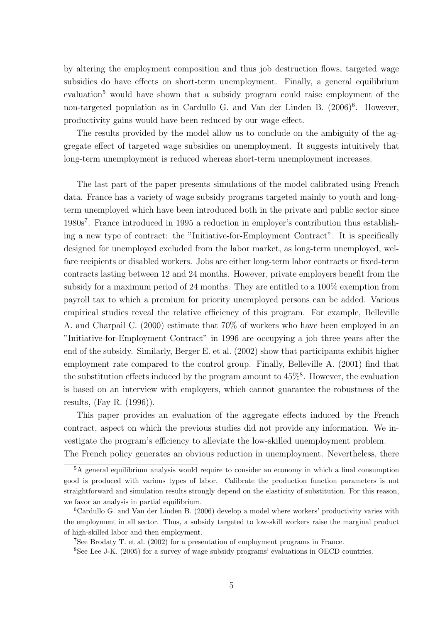by altering the employment composition and thus job destruction flows, targeted wage subsidies do have effects on short-term unemployment. Finally, a general equilibrium evaluation<sup>5</sup> would have shown that a subsidy program could raise employment of the non-targeted population as in Cardullo G. and Van der Linden B.  $(2006)^6$ . However, productivity gains would have been reduced by our wage effect.

The results provided by the model allow us to conclude on the ambiguity of the aggregate effect of targeted wage subsidies on unemployment. It suggests intuitively that long-term unemployment is reduced whereas short-term unemployment increases.

The last part of the paper presents simulations of the model calibrated using French data. France has a variety of wage subsidy programs targeted mainly to youth and longterm unemployed which have been introduced both in the private and public sector since 1980s<sup>7</sup> . France introduced in 1995 a reduction in employer's contribution thus establishing a new type of contract: the "Initiative-for-Employment Contract". It is specifically designed for unemployed excluded from the labor market, as long-term unemployed, welfare recipients or disabled workers. Jobs are either long-term labor contracts or fixed-term contracts lasting between 12 and 24 months. However, private employers benefit from the subsidy for a maximum period of 24 months. They are entitled to a 100% exemption from payroll tax to which a premium for priority unemployed persons can be added. Various empirical studies reveal the relative efficiency of this program. For example, Belleville A. and Charpail C. (2000) estimate that 70% of workers who have been employed in an "Initiative-for-Employment Contract" in 1996 are occupying a job three years after the end of the subsidy. Similarly, Berger E. et al. (2002) show that participants exhibit higher employment rate compared to the control group. Finally, Belleville A. (2001) find that the substitution effects induced by the program amount to  $45\%$ <sup>8</sup>. However, the evaluation is based on an interview with employers, which cannot guarantee the robustness of the results, (Fay R. (1996)).

This paper provides an evaluation of the aggregate effects induced by the French contract, aspect on which the previous studies did not provide any information. We investigate the program's efficiency to alleviate the low-skilled unemployment problem.

The French policy generates an obvious reduction in unemployment. Nevertheless, there

<sup>&</sup>lt;sup>5</sup>A general equilibrium analysis would require to consider an economy in which a final consumption good is produced with various types of labor. Calibrate the production function parameters is not straightforward and simulation results strongly depend on the elasticity of substitution. For this reason, we favor an analysis in partial equilibrium.

<sup>6</sup>Cardullo G. and Van der Linden B. (2006) develop a model where workers' productivity varies with the employment in all sector. Thus, a subsidy targeted to low-skill workers raise the marginal product of high-skilled labor and then employment.

<sup>7</sup>See Brodaty T. et al. (2002) for a presentation of employment programs in France.

<sup>8</sup>See Lee J-K. (2005) for a survey of wage subsidy programs' evaluations in OECD countries.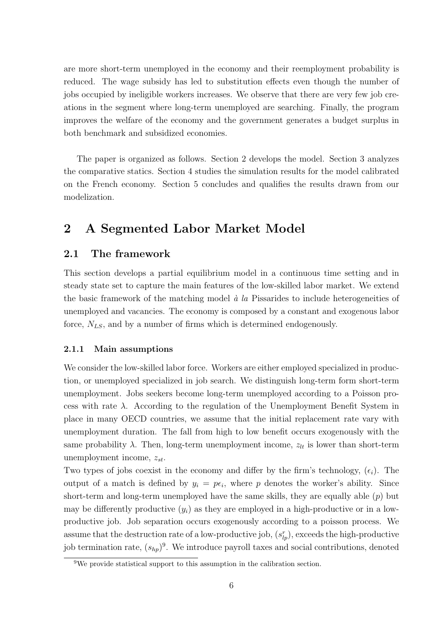are more short-term unemployed in the economy and their reemployment probability is reduced. The wage subsidy has led to substitution effects even though the number of jobs occupied by ineligible workers increases. We observe that there are very few job creations in the segment where long-term unemployed are searching. Finally, the program improves the welfare of the economy and the government generates a budget surplus in both benchmark and subsidized economies.

The paper is organized as follows. Section 2 develops the model. Section 3 analyzes the comparative statics. Section 4 studies the simulation results for the model calibrated on the French economy. Section 5 concludes and qualifies the results drawn from our modelization.

## 2 A Segmented Labor Market Model

## 2.1 The framework

This section develops a partial equilibrium model in a continuous time setting and in steady state set to capture the main features of the low-skilled labor market. We extend the basic framework of the matching model  $\dot{a}$  la Pissarides to include heterogeneities of unemployed and vacancies. The economy is composed by a constant and exogenous labor force,  $N_{LS}$ , and by a number of firms which is determined endogenously.

### 2.1.1 Main assumptions

We consider the low-skilled labor force. Workers are either employed specialized in production, or unemployed specialized in job search. We distinguish long-term form short-term unemployment. Jobs seekers become long-term unemployed according to a Poisson process with rate  $\lambda$ . According to the regulation of the Unemployment Benefit System in place in many OECD countries, we assume that the initial replacement rate vary with unemployment duration. The fall from high to low benefit occurs exogenously with the same probability  $\lambda$ . Then, long-term unemployment income,  $z_{lt}$  is lower than short-term unemployment income,  $z_{st}$ .

Two types of jobs coexist in the economy and differ by the firm's technology,  $(\epsilon_i)$ . The output of a match is defined by  $y_i = p\epsilon_i$ , where p denotes the worker's ability. Since short-term and long-term unemployed have the same skills, they are equally able  $(p)$  but may be differently productive  $(y_i)$  as they are employed in a high-productive or in a lowproductive job. Job separation occurs exogenously according to a poisson process. We assume that the destruction rate of a low-productive job,  $(s_{lp}^r)$ , exceeds the high-productive job termination rate,  $(s_{hp})^9$ . We introduce payroll taxes and social contributions, denoted

<sup>9</sup>We provide statistical support to this assumption in the calibration section.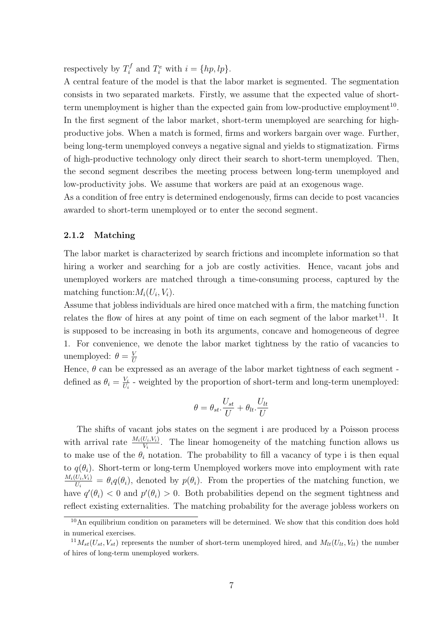respectively by  $T_i^f$  $T_i^f$  and  $T_i^e$  with  $i = \{hp, lp\}.$ 

A central feature of the model is that the labor market is segmented. The segmentation consists in two separated markets. Firstly, we assume that the expected value of shortterm unemployment is higher than the expected gain from low-productive employment<sup>10</sup>. In the first segment of the labor market, short-term unemployed are searching for highproductive jobs. When a match is formed, firms and workers bargain over wage. Further, being long-term unemployed conveys a negative signal and yields to stigmatization. Firms of high-productive technology only direct their search to short-term unemployed. Then, the second segment describes the meeting process between long-term unemployed and low-productivity jobs. We assume that workers are paid at an exogenous wage.

As a condition of free entry is determined endogenously, firms can decide to post vacancies awarded to short-term unemployed or to enter the second segment.

### 2.1.2 Matching

The labor market is characterized by search frictions and incomplete information so that hiring a worker and searching for a job are costly activities. Hence, vacant jobs and unemployed workers are matched through a time-consuming process, captured by the matching function:  $M_i(U_i, V_i)$ .

Assume that jobless individuals are hired once matched with a firm, the matching function relates the flow of hires at any point of time on each segment of the labor market<sup>11</sup>. It is supposed to be increasing in both its arguments, concave and homogeneous of degree 1. For convenience, we denote the labor market tightness by the ratio of vacancies to unemployed:  $\theta = \frac{V}{U}$  $\boldsymbol{U}$ 

Hence,  $\theta$  can be expressed as an average of the labor market tightness of each segment defined as  $\theta_i = \frac{V_i}{U_i}$  $\frac{V_i}{U_i}$  - weighted by the proportion of short-term and long-term unemployed:

$$
\theta = \theta_{st}.\frac{U_{st}}{U} + \theta_{lt}.\frac{U_{lt}}{U}
$$

The shifts of vacant jobs states on the segment i are produced by a Poisson process with arrival rate  $\frac{M_i(U_i,V_i)}{V_i}$ . The linear homogeneity of the matching function allows us to make use of the  $\theta_i$  notation. The probability to fill a vacancy of type i is then equal to  $q(\theta_i)$ . Short-term or long-term Unemployed workers move into employment with rate  $M_i(U_i,V_i)$  $\frac{U_i, V_i}{U_i} = \theta_i q(\theta_i)$ , denoted by  $p(\theta_i)$ . From the properties of the matching function, we have  $q'(\theta_i) < 0$  and  $p'(\theta_i) > 0$ . Both probabilities depend on the segment tightness and reflect existing externalities. The matching probability for the average jobless workers on

<sup>&</sup>lt;sup>10</sup>An equilibrium condition on parameters will be determined. We show that this condition does hold in numerical exercises.

 $^{11}M_{st}(U_{st}, V_{st})$  represents the number of short-term unemployed hired, and  $M_{lt}(U_{lt}, V_{lt})$  the number of hires of long-term unemployed workers.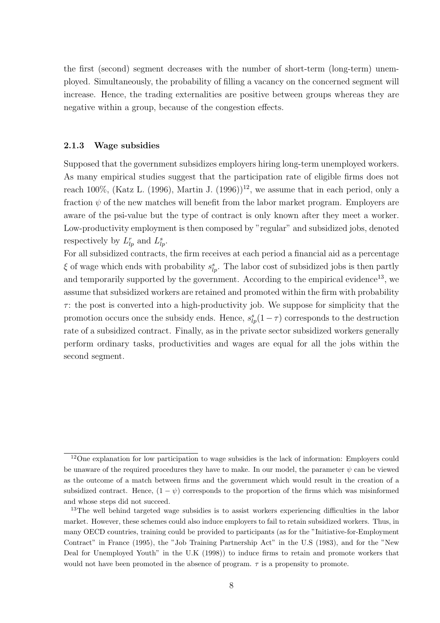the first (second) segment decreases with the number of short-term (long-term) unemployed. Simultaneously, the probability of filling a vacancy on the concerned segment will increase. Hence, the trading externalities are positive between groups whereas they are negative within a group, because of the congestion effects.

#### 2.1.3 Wage subsidies

Supposed that the government subsidizes employers hiring long-term unemployed workers. As many empirical studies suggest that the participation rate of eligible firms does not reach 100%, (Katz L. (1996), Martin J. (1996))<sup>12</sup>, we assume that in each period, only a fraction  $\psi$  of the new matches will benefit from the labor market program. Employers are aware of the psi-value but the type of contract is only known after they meet a worker. Low-productivity employment is then composed by "regular" and subsidized jobs, denoted respectively by  $L_{lp}^r$  and  $L_{lp}^s$ .

For all subsidized contracts, the firm receives at each period a financial aid as a percentage  $\xi$  of wage which ends with probability  $s_{lp}^s$ . The labor cost of subsidized jobs is then partly and temporarily supported by the government. According to the empirical evidence<sup>13</sup>, we assume that subsidized workers are retained and promoted within the firm with probability  $\tau$ : the post is converted into a high-productivity job. We suppose for simplicity that the promotion occurs once the subsidy ends. Hence,  $s_{lp}^s(1-\tau)$  corresponds to the destruction rate of a subsidized contract. Finally, as in the private sector subsidized workers generally perform ordinary tasks, productivities and wages are equal for all the jobs within the second segment.

<sup>12</sup>One explanation for low participation to wage subsidies is the lack of information: Employers could be unaware of the required procedures they have to make. In our model, the parameter  $\psi$  can be viewed as the outcome of a match between firms and the government which would result in the creation of a subsidized contract. Hence,  $(1 - \psi)$  corresponds to the proportion of the firms which was misinformed and whose steps did not succeed.

<sup>&</sup>lt;sup>13</sup>The well behind targeted wage subsidies is to assist workers experiencing difficulties in the labor market. However, these schemes could also induce employers to fail to retain subsidized workers. Thus, in many OECD countries, training could be provided to participants (as for the "Initiative-for-Employment Contract" in France (1995), the "Job Training Partnership Act" in the U.S (1983), and for the "New Deal for Unemployed Youth" in the U.K (1998)) to induce firms to retain and promote workers that would not have been promoted in the absence of program.  $\tau$  is a propensity to promote.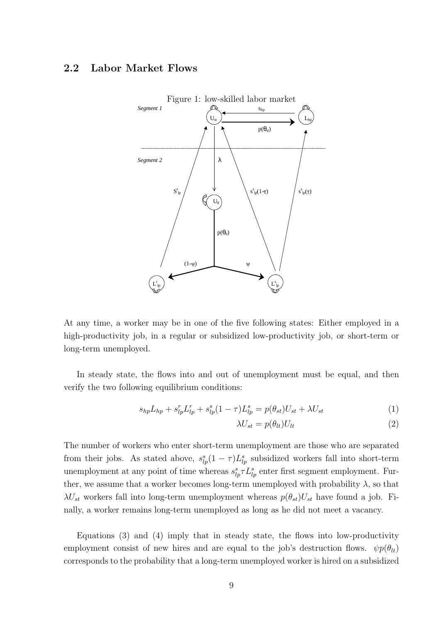### 2.2 Labor Market Flows



At any time, a worker may be in one of the five following states: Either employed in a high-productivity job, in a regular or subsidized low-productivity job, or short-term or long-term unemployed.

In steady state, the flows into and out of unemployment must be equal, and then verify the two following equilibrium conditions:

$$
s_{hp}L_{hp} + s_{lp}^r L_{lp}^r + s_{lp}^s (1 - \tau)L_{lp}^s = p(\theta_{st})U_{st} + \lambda U_{st}
$$
 (1)

$$
\lambda U_{st} = p(\theta_{lt}) U_{lt} \tag{2}
$$

The number of workers who enter short-term unemployment are those who are separated from their jobs. As stated above,  $s_{lp}^s(1-\tau)L_{lp}^s$  subsidized workers fall into short-term unemployment at any point of time whereas  $s_{lp}^s \tau L_{lp}^s$  enter first segment employment. Further, we assume that a worker becomes long-term unemployed with probability  $\lambda$ , so that  $\lambda U_{st}$  workers fall into long-term unemployment whereas  $p(\theta_{st})U_{st}$  have found a job. Finally, a worker remains long-term unemployed as long as he did not meet a vacancy.

Equations (3) and (4) imply that in steady state, the flows into low-productivity employment consist of new hires and are equal to the job's destruction flows.  $\psi p(\theta_{lt})$ corresponds to the probability that a long-term unemployed worker is hired on a subsidized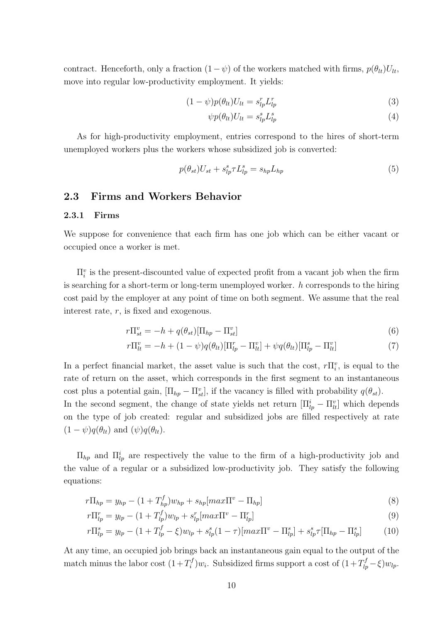contract. Henceforth, only a fraction  $(1 - \psi)$  of the workers matched with firms,  $p(\theta_{lt})U_{lt}$ , move into regular low-productivity employment. It yields:

$$
(1 - \psi)p(\theta_{lt})U_{lt} = s_{lp}^r L_{lp}^r
$$
\n(3)

$$
\psi p(\theta_{lt}) U_{lt} = s_{lp}^s L_{lp}^s \tag{4}
$$

As for high-productivity employment, entries correspond to the hires of short-term unemployed workers plus the workers whose subsidized job is converted:

$$
p(\theta_{st})U_{st} + s_{lp}^s \tau L_{lp}^s = s_{hp}L_{hp}
$$
\n<sup>(5)</sup>

### 2.3 Firms and Workers Behavior

#### 2.3.1 Firms

We suppose for convenience that each firm has one job which can be either vacant or occupied once a worker is met.

 $\Pi_i^v$  is the present-discounted value of expected profit from a vacant job when the firm is searching for a short-term or long-term unemployed worker.  $h$  corresponds to the hiring cost paid by the employer at any point of time on both segment. We assume that the real interest rate, r, is fixed and exogenous.

$$
r\Pi_{st}^v = -h + q(\theta_{st})[\Pi_{hp} - \Pi_{st}^v]
$$
\n
$$
(6)
$$

$$
r\Pi_{lt}^{v} = -h + (1 - \psi)q(\theta_{lt})[\Pi_{lp}^{r} - \Pi_{lt}^{v}] + \psi q(\theta_{lt})[\Pi_{lp}^{s} - \Pi_{lt}^{v}]
$$
\n(7)

In a perfect financial market, the asset value is such that the cost,  $r\Pi_i^v$ , is equal to the rate of return on the asset, which corresponds in the first segment to an instantaneous cost plus a potential gain,  $[\Pi_{hp} - \Pi_{st}^v]$ , if the vacancy is filled with probability  $q(\theta_{st})$ . In the second segment, the change of state yields net return  $[\Pi_{lp}^i - \Pi_{lt}^v]$  which depends on the type of job created: regular and subsidized jobs are filled respectively at rate  $(1 - \psi)q(\theta_{lt})$  and  $(\psi)q(\theta_{lt}).$ 

 $\Pi_{hp}$  and  $\Pi_{lp}^{i}$  are respectively the value to the firm of a high-productivity job and the value of a regular or a subsidized low-productivity job. They satisfy the following equations:

$$
r\Pi_{hp} = y_{hp} - (1 + T_{hp}^f)w_{hp} + s_{hp}[max \Pi^v - \Pi_{hp}] \tag{8}
$$

$$
r\Pi_{lp}^r = y_{lp} - (1 + T_{lp}^f)w_{lp} + s_{lp}^r[max \Pi^v - \Pi_{lp}^r]
$$
\n(9)

$$
r\Pi_{lp}^s = y_{lp} - (1 + T_{lp}^f - \xi)w_{lp} + s_{lp}^s(1 - \tau)[max \Pi^v - \Pi_{lp}^s] + s_{lp}^s \tau[\Pi_{hp} - \Pi_{lp}^s]
$$
(10)

At any time, an occupied job brings back an instantaneous gain equal to the output of the match minus the labor cost  $(1+T_i^f)$  $\int_i^{f} w_i$ . Subsidized firms support a cost of  $(1+T_{lp}^f-\xi)w_{lp}$ .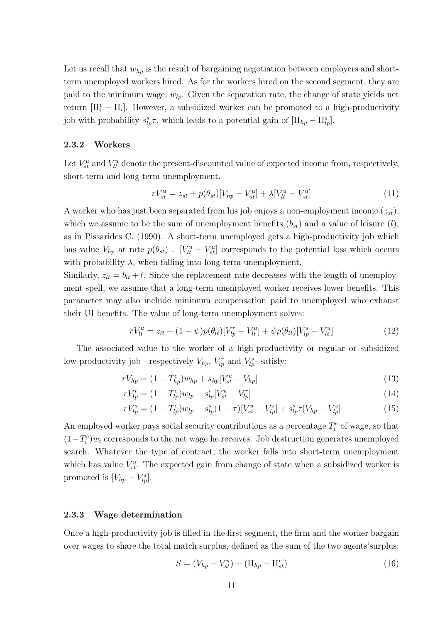Let us recall that  $w_{hp}$  is the result of bargaining negotiation between employers and shortterm unemployed workers hired. As for the workers hired on the second segment, they are paid to the minimum wage,  $w_{lp}$ . Given the separation rate, the change of state yields net return  $[\Pi_i^v - \Pi_i]$ . However, a subsidized worker can be promoted to a high-productivity job with probability  $s_{lp}^s \tau$ , which leads to a potential gain of  $[\Pi_{hp} - \Pi_{lp}^s]$ .

### 2.3.2 Workers

Let  $V_{st}^u$  and  $V_{lt}^u$  denote the present-discounted value of expected income from, respectively, short-term and long-term unemployment.

$$
rV_{st}^{u} = z_{st} + p(\theta_{st})[V_{hp} - V_{st}^{u}] + \lambda[V_{lt}^{u} - V_{st}^{u}]
$$
\n(11)

A worker who has just been separated from his job enjoys a non-employment income  $(z_{st})$ , which we assume to be the sum of unemployment benefits  $(b_{st})$  and a value of leisure  $(l)$ , as in Pissarides C. (1990). A short-term unemployed gets a high-productivity job which has value  $V_{hp}$  at rate  $p(\theta_{st})$ .  $[V_{lt}^u - V_{st}^u]$  corresponds to the potential loss which occurs with probability  $\lambda$ , when falling into long-term unemployment.

Similarly,  $z_{lt} = b_{lt} + l$ . Since the replacement rate decreases with the length of unemployment spell, we assume that a long-term unemployed worker receives lower benefits. This parameter may also include minimum compensation paid to unemployed who exhaust their UI benefits. The value of long-term unemployment solves:

$$
rV_{lt}^{u} = z_{lt} + (1 - \psi)p(\theta_{lt})[V_{lp}^{r} - V_{lt}^{u}] + \psi p(\theta_{lt})[V_{lp}^{s} - V_{lt}^{u}]
$$
\n(12)

The associated value to the worker of a high-productivity or regular or subsidized low-productivity job - respectively  $V_{hp}$ ,  $V_{lp}^r$  and  $V_{lp}^s$ -satisfy:

$$
rV_{hp} = (1 - T_{hp}^e)w_{hp} + s_{hp}[V_{st}^u - V_{hp}] \tag{13}
$$

$$
rV_{lp}^{r} = (1 - T_{lp}^{e})w_{lp} + s_{lp}^{r}[V_{st}^{u} - V_{lp}^{r}]
$$
\n(14)

$$
rV_{lp}^{s} = (1 - T_{lp}^{e})w_{lp} + s_{lp}^{s}(1 - \tau)[V_{st}^{u} - V_{lp}^{s}] + s_{lp}^{s}\tau[V_{hp} - V_{lp}^{s}]
$$
\n(15)

An employed worker pays social security contributions as a percentage  $T_i^e$  of wage, so that  $(1-T_i^e)w_i$  corresponds to the net wage he receives. Job destruction generates unemployed search. Whatever the type of contract, the worker falls into short-term unemployment which has value  $V_{st}^u$ . The expected gain from change of state when a subsidized worker is promoted is  $[V_{hp} - V_{lp}^s]$ .

#### 2.3.3 Wage determination

Once a high-productivity job is filled in the first segment, the firm and the worker bargain over wages to share the total match surplus, defined as the sum of the two agents'surplus:

$$
S = (V_{hp} - V_{st}^u) + (\Pi_{hp} - \Pi_{st}^v)
$$
\n(16)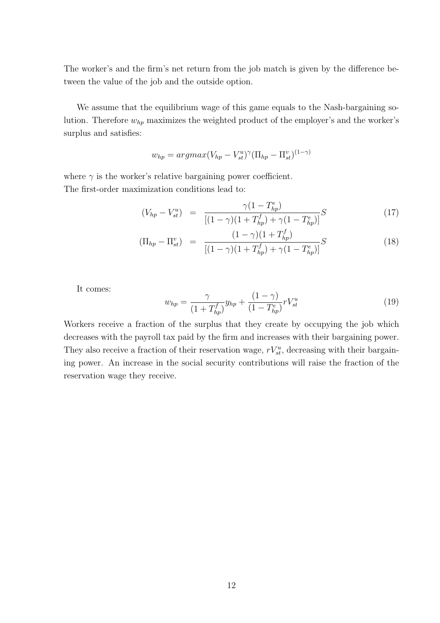The worker's and the firm's net return from the job match is given by the difference between the value of the job and the outside option.

We assume that the equilibrium wage of this game equals to the Nash-bargaining solution. Therefore  $w_{hp}$  maximizes the weighted product of the employer's and the worker's surplus and satisfies:

$$
w_{hp} = argmax(V_{hp} - V_{st}^u)^{\gamma} (\Pi_{hp} - \Pi_{st}^v)^{(1-\gamma)}
$$

where  $\gamma$  is the worker's relative bargaining power coefficient. The first-order maximization conditions lead to:

$$
(V_{hp} - V_{st}^u) = \frac{\gamma (1 - T_{hp}^e)}{[(1 - \gamma)(1 + T_{hp}^f) + \gamma (1 - T_{hp}^e)]} S
$$
(17)

$$
(\Pi_{hp} - \Pi_{st}^v) = \frac{(1 - \gamma)(1 + T_{hp}^f)}{[(1 - \gamma)(1 + T_{hp}^f) + \gamma(1 - T_{hp}^e)]} S
$$
\n(18)

It comes:

$$
w_{hp} = \frac{\gamma}{(1 + T_{hp}^f)} y_{hp} + \frac{(1 - \gamma)}{(1 - T_{hp}^e)} r V_{st}^u
$$
\n(19)

Workers receive a fraction of the surplus that they create by occupying the job which decreases with the payroll tax paid by the firm and increases with their bargaining power. They also receive a fraction of their reservation wage,  $rV_{st}^u$ , decreasing with their bargaining power. An increase in the social security contributions will raise the fraction of the reservation wage they receive.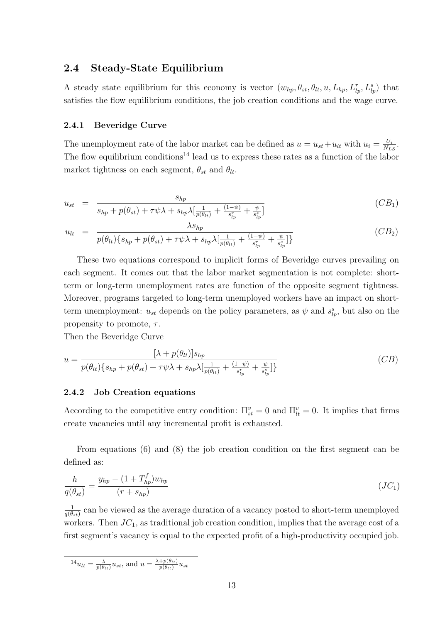### 2.4 Steady-State Equilibrium

A steady state equilibrium for this economy is vector  $(w_{hp}, \theta_{st}, \theta_{lt}, u, L_{hp}, L_{lp}^r, L_{lp}^s)$  that satisfies the flow equilibrium conditions, the job creation conditions and the wage curve.

#### 2.4.1 Beveridge Curve

The unemployment rate of the labor market can be defined as  $u = u_{st} + u_{lt}$  with  $u_i = \frac{U_i}{N_t}$  $\frac{U_i}{N_{LS}}$ . The flow equilibrium conditions<sup>14</sup> lead us to express these rates as a function of the labor market tightness on each segment,  $\theta_{st}$  and  $\theta_{lt}$ .

$$
u_{st} = \frac{s_{hp}}{s_{hp} + p(\theta_{st}) + \tau \psi \lambda + s_{hp} \lambda \left[\frac{1}{p(\theta_{lt})} + \frac{(1-\psi)}{s_{lp}^r} + \frac{\psi}{s_{lp}^s}\right]}
$$
(CB<sub>1</sub>)

$$
u_{lt} = \frac{\lambda s_{hp}}{p(\theta_{lt})\{s_{hp} + p(\theta_{st}) + \tau \psi \lambda + s_{hp} \lambda[\frac{1}{p(\theta_{lt})} + \frac{(1-\psi)}{s_{lp}^r} + \frac{\psi}{s_{lp}^s}]\}}
$$
(CB<sub>2</sub>)

These two equations correspond to implicit forms of Beveridge curves prevailing on each segment. It comes out that the labor market segmentation is not complete: shortterm or long-term unemployment rates are function of the opposite segment tightness. Moreover, programs targeted to long-term unemployed workers have an impact on shortterm unemployment:  $u_{st}$  depends on the policy parameters, as  $\psi$  and  $s_{lp}^s$ , but also on the propensity to promote,  $\tau$ .

Then the Beveridge Curve

$$
u = \frac{[\lambda + p(\theta_{lt})]s_{hp}}{p(\theta_{lt})\{s_{hp} + p(\theta_{st}) + \tau\psi\lambda + s_{hp}\lambda[\frac{1}{p(\theta_{lt})} + \frac{(1-\psi)}{s_{lp}^r} + \frac{\psi}{s_{lp}^s}]\}}\tag{CB}
$$

#### 2.4.2 Job Creation equations

According to the competitive entry condition:  $\Pi_{st}^v = 0$  and  $\Pi_{tt}^v = 0$ . It implies that firms create vacancies until any incremental profit is exhausted.

From equations (6) and (8) the job creation condition on the first segment can be defined as:

$$
\frac{h}{q(\theta_{st})} = \frac{y_{hp} - (1 + T_{hp}^f)w_{hp}}{(r + s_{hp})}
$$
\n
$$
(JC_1)
$$

1  $\frac{1}{q(\theta_{st})}$  can be viewed as the average duration of a vacancy posted to short-term unemployed workers. Then  $JC_1$ , as traditional job creation condition, implies that the average cost of a first segment's vacancy is equal to the expected profit of a high-productivity occupied job.

$$
^{14}u_{lt} = \frac{\lambda}{p(\theta_{lt})} u_{st}
$$
, and  $u = \frac{\lambda + p(\theta_{lt})}{p(\theta_{lt})} u_{st}$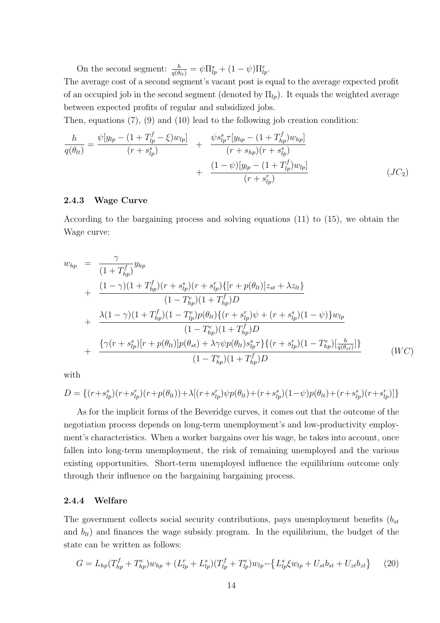On the second segment:  $\frac{h}{q(\theta_{lt})} = \psi \Pi_{lp}^s + (1 - \psi) \Pi_{lp}^r$ .

The average cost of a second segment's vacant post is equal to the average expected profit of an occupied job in the second segment (denoted by  $\Pi_{lp}$ ). It equals the weighted average between expected profits of regular and subsidized jobs.

Then, equations (7), (9) and (10) lead to the following job creation condition:

$$
\frac{h}{q(\theta_{lt})} = \frac{\psi[y_{lp} - (1 + T_{lp}^f - \xi)w_{lp}]}{(r + s_{lp}^s)} + \frac{\psi s_{lp}^s \tau[y_{hp} - (1 + T_{hp}^f)w_{hp}]}{(r + s_{hp})(r + s_{lp}^s)} + \frac{(1 - \psi)[y_{lp} - (1 + T_{lp}^f)w_{lp}]}{(r + s_{lp}^r)} \tag{JC_2}
$$

#### 2.4.3 Wage Curve

According to the bargaining process and solving equations (11) to (15), we obtain the Wage curve:

$$
w_{hp} = \frac{\gamma}{(1 + T_{hp}^f)} y_{hp}
$$
  
+ 
$$
\frac{(1 - \gamma)(1 + T_{hp}^f)(r + s_{lp}^s)(r + s_{lp}^r)\{[r + p(\theta_{lt})]z_{st} + \lambda z_{lt}\}}{(1 - T_{hp}^e)(1 + T_{hp}^f)D}
$$
  
+ 
$$
\frac{\lambda(1 - \gamma)(1 + T_{hp}^f)(1 - T_{tp}^e)p(\theta_{lt})\{(r + s_{lp}^r)\psi + (r + s_{lp}^s)(1 - \psi)\}w_{lp}}{(1 - T_{hp}^e)(1 + T_{hp}^f)D}
$$
  
+ 
$$
\frac{\{\gamma(r + s_{lp}^s)[r + p(\theta_{lt})]p(\theta_{st}) + \lambda\gamma\psi p(\theta_{lt})s_{lp}^s\tau\}\{(r + s_{lp}^r)(1 - T_{hp}^e)[\frac{h}{q(\theta_{st})}]\}}{(1 - T_{hp}^e)(1 + T_{hp}^f)D}
$$
 (WC)

with

$$
D = \{ (r + s_{lp}^s)(r + s_{lp}^r)(r + p(\theta_{lt})) + \lambda [(r + s_{lp}^r)\psi p(\theta_{lt}) + (r + s_{lp}^s)(1 - \psi)p(\theta_{lt}) + (r + s_{lp}^s)(r + s_{lp}^r)] \}
$$

As for the implicit forms of the Beveridge curves, it comes out that the outcome of the negotiation process depends on long-term unemployment's and low-productivity employment's characteristics. When a worker bargains over his wage, he takes into account, once fallen into long-term unemployment, the risk of remaining unemployed and the various existing opportunities. Short-term unemployed influence the equilibrium outcome only through their influence on the bargaining bargaining process.

#### 2.4.4 Welfare

The government collects social security contributions, pays unemployment benefits  $(b_{st}$ and  $b_{lt}$ ) and finances the wage subsidy program. In the equilibrium, the budget of the state can be written as follows:

$$
G = L_{hp}(T_{hp}^f + T_{hp}^e)w_{hp} + (L_{lp}^r + L_{lp}^s)(T_{lp}^f + T_{lp}^e)w_{lp} - \left\{L_{lp}^s \xi w_{lp} + U_{st}b_{st} + U_{zt}b_{zt}\right\} \tag{20}
$$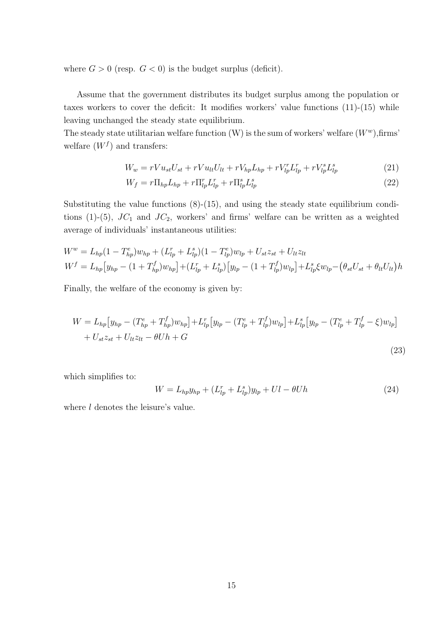where  $G > 0$  (resp.  $G < 0$ ) is the budget surplus (deficit).

Assume that the government distributes its budget surplus among the population or taxes workers to cover the deficit: It modifies workers' value functions (11)-(15) while leaving unchanged the steady state equilibrium.

The steady state utilitarian welfare function  $(W)$  is the sum of workers' welfare  $(W<sup>w</sup>)$ , firms' welfare  $(W<sup>f</sup>)$  and transfers:

$$
W_w = rV u_{st} U_{st} + rV u_{lt} U_{lt} + rV_{hp} L_{hp} + rV_{lp}^r L_{lp}^r + rV_{lp}^s L_{lp}^s \tag{21}
$$

$$
W_f = r \Pi_{hp} L_{hp} + r \Pi_{lp}^r L_{lp}^r + r \Pi_{lp}^s L_{lp}^s \tag{22}
$$

Substituting the value functions  $(8)-(15)$ , and using the steady state equilibrium conditions (1)-(5),  $JC_1$  and  $JC_2$ , workers' and firms' welfare can be written as a weighted average of individuals' instantaneous utilities:

$$
W^w = L_{hp}(1 - T_{hp}^e)w_{hp} + (L_{lp}^r + L_{lp}^s)(1 - T_{lp}^e)w_{lp} + U_{st}z_{st} + U_{lt}z_{lt}
$$
  

$$
W^f = L_{hp}[y_{hp} - (1 + T_{hp}^f)w_{hp}] + (L_{lp}^r + L_{lp}^s)[y_{lp} - (1 + T_{lp}^f)w_{lp}] + L_{lp}^s\xi w_{lp} - (\theta_{st}U_{st} + \theta_{lt}U_{lt})h
$$

Finally, the welfare of the economy is given by:

$$
W = L_{hp} \left[ y_{hp} - (T_{hp}^e + T_{hp}^f) w_{hp} \right] + L_{lp}^r \left[ y_{lp} - (T_{lp}^e + T_{lp}^f) w_{lp} \right] + L_{lp}^s \left[ y_{lp} - (T_{lp}^e + T_{lp}^f - \xi) w_{lp} \right] + U_{st} z_{st} + U_{lt} z_{lt} - \theta U h + G
$$
\n(23)

which simplifies to:

$$
W = L_{hp} y_{hp} + (L_{lp}^r + L_{lp}^s) y_{lp} + Ul - \theta Uh \tag{24}
$$

where  $l$  denotes the leisure's value.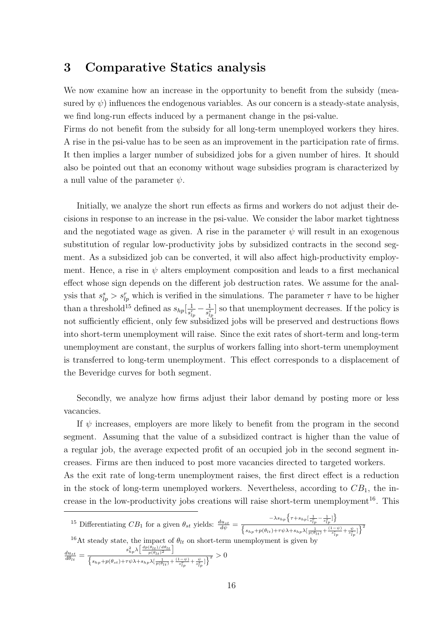## 3 Comparative Statics analysis

We now examine how an increase in the opportunity to benefit from the subsidy (measured by  $\psi$ ) influences the endogenous variables. As our concern is a steady-state analysis, we find long-run effects induced by a permanent change in the psi-value.

Firms do not benefit from the subsidy for all long-term unemployed workers they hires. A rise in the psi-value has to be seen as an improvement in the participation rate of firms. It then implies a larger number of subsidized jobs for a given number of hires. It should also be pointed out that an economy without wage subsidies program is characterized by a null value of the parameter  $\psi$ .

Initially, we analyze the short run effects as firms and workers do not adjust their decisions in response to an increase in the psi-value. We consider the labor market tightness and the negotiated wage as given. A rise in the parameter  $\psi$  will result in an exogenous substitution of regular low-productivity jobs by subsidized contracts in the second segment. As a subsidized job can be converted, it will also affect high-productivity employment. Hence, a rise in  $\psi$  alters employment composition and leads to a first mechanical effect whose sign depends on the different job destruction rates. We assume for the analysis that  $s_{lp}^s > s_{lp}^r$  which is verified in the simulations. The parameter  $\tau$  have to be higher than a threshold<sup>15</sup> defined as  $s_{hp}[\frac{1}{s^r}]$  $\frac{1}{s_{lp}^r}-\frac{1}{s_{lj}^s}$  $\frac{1}{s_{ip}^s}$  so that unemployment decreases. If the policy is not sufficiently efficient, only few subsidized jobs will be preserved and destructions flows into short-term unemployment will raise. Since the exit rates of short-term and long-term unemployment are constant, the surplus of workers falling into short-term unemployment is transferred to long-term unemployment. This effect corresponds to a displacement of the Beveridge curves for both segment.

Secondly, we analyze how firms adjust their labor demand by posting more or less vacancies.

If  $\psi$  increases, employers are more likely to benefit from the program in the second segment. Assuming that the value of a subsidized contract is higher than the value of a regular job, the average expected profit of an occupied job in the second segment increases. Firms are then induced to post more vacancies directed to targeted workers.

As the exit rate of long-term unemployment raises, the first direct effect is a reduction in the stock of long-term unemployed workers. Nevertheless, according to  $CB<sub>1</sub>$ , the increase in the low-productivity jobs creations will raise short-term unemployment<sup>16</sup>. This

<sup>15</sup> Differentiating  $CB_1$  for a given  $\theta_{st}$  yields:  $\frac{du_{st}}{d\psi}$  =  $-\lambda s_{hp}\Big\{\tau +s_{hp}[\frac{1}{s_{lp}^r}-\frac{1}{s_{lp}^s}]\Big\}$  $\overline{\phantom{0}}$  $\frac{\sum\limits_{i=1}^{n} \sum\limits_{j=1}^{n} \sum\limits_{i=1}^{n} \sum\limits_{j=1}^{n} j_j}{s_{hp} + p(\theta_{lt}) + \tau \psi \lambda + s_{hp} \lambda \left[\frac{1}{p(\theta_{lt})} + \frac{(1-\psi)}{s_{lp}^T} + \frac{\psi}{s_{lp}^S}\right]\right\}^2}$ <sup>16</sup>At steady state, the impact of  $\theta_{lt}$  on short-term unemployment is given by  $\frac{du_{st}}{d\theta_{lt}} = \frac{s_{hp}^2 \lambda}{\int \frac{du_{gt}}{\lambda} \left| \frac{g_{hp}^2 \lambda}{g_{lt}^2} \right|}$ e impact o $\left[\frac{dp(\theta_{lt})/d\theta_{lt}}{p(\theta_{lt})^2}\right]$ ¤  $\overline{\phantom{0}}$  $\frac{c_{hp}\cdot\sqrt{1-p(\theta_{lt})^2-1}}{s_{hp}+p(\theta_{st})+\tau\psi\lambda+s_{hp}\lambda[\frac{1}{p(\theta_{lt})}+\frac{(1-\psi)}{s_{lp}^r}+\frac{\psi}{s_{lp}^s}] \Big\}^2}>0$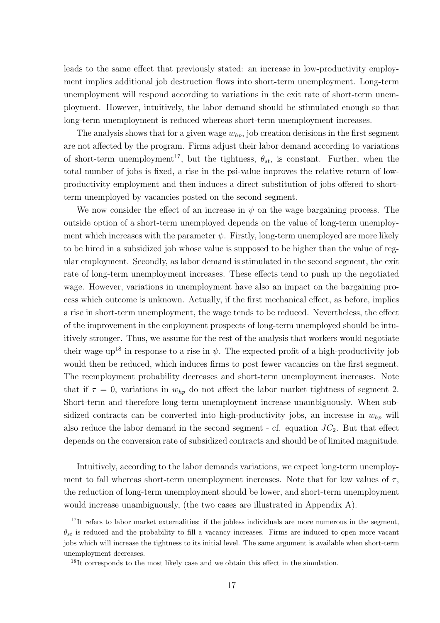leads to the same effect that previously stated: an increase in low-productivity employment implies additional job destruction flows into short-term unemployment. Long-term unemployment will respond according to variations in the exit rate of short-term unemployment. However, intuitively, the labor demand should be stimulated enough so that long-term unemployment is reduced whereas short-term unemployment increases.

The analysis shows that for a given wage  $w_{hp}$ , job creation decisions in the first segment are not affected by the program. Firms adjust their labor demand according to variations of short-term unemployment<sup>17</sup>, but the tightness,  $\theta_{st}$ , is constant. Further, when the total number of jobs is fixed, a rise in the psi-value improves the relative return of lowproductivity employment and then induces a direct substitution of jobs offered to shortterm unemployed by vacancies posted on the second segment.

We now consider the effect of an increase in  $\psi$  on the wage bargaining process. The outside option of a short-term unemployed depends on the value of long-term unemployment which increases with the parameter  $\psi$ . Firstly, long-term unemployed are more likely to be hired in a subsidized job whose value is supposed to be higher than the value of regular employment. Secondly, as labor demand is stimulated in the second segment, the exit rate of long-term unemployment increases. These effects tend to push up the negotiated wage. However, variations in unemployment have also an impact on the bargaining process which outcome is unknown. Actually, if the first mechanical effect, as before, implies a rise in short-term unemployment, the wage tends to be reduced. Nevertheless, the effect of the improvement in the employment prospects of long-term unemployed should be intuitively stronger. Thus, we assume for the rest of the analysis that workers would negotiate their wage up<sup>18</sup> in response to a rise in  $\psi$ . The expected profit of a high-productivity job would then be reduced, which induces firms to post fewer vacancies on the first segment. The reemployment probability decreases and short-term unemployment increases. Note that if  $\tau = 0$ , variations in  $w_{hp}$  do not affect the labor market tightness of segment 2. Short-term and therefore long-term unemployment increase unambiguously. When subsidized contracts can be converted into high-productivity jobs, an increase in  $w_{hp}$  will also reduce the labor demand in the second segment - cf. equation  $JC_2$ . But that effect depends on the conversion rate of subsidized contracts and should be of limited magnitude.

Intuitively, according to the labor demands variations, we expect long-term unemployment to fall whereas short-term unemployment increases. Note that for low values of  $\tau$ , the reduction of long-term unemployment should be lower, and short-term unemployment would increase unambiguously, (the two cases are illustrated in Appendix A).

<sup>&</sup>lt;sup>17</sup>It refers to labor market externalities: if the jobless individuals are more numerous in the segment,  $\theta_{st}$  is reduced and the probability to fill a vacancy increases. Firms are induced to open more vacant jobs which will increase the tightness to its initial level. The same argument is available when short-term unemployment decreases.

<sup>&</sup>lt;sup>18</sup>It corresponds to the most likely case and we obtain this effect in the simulation.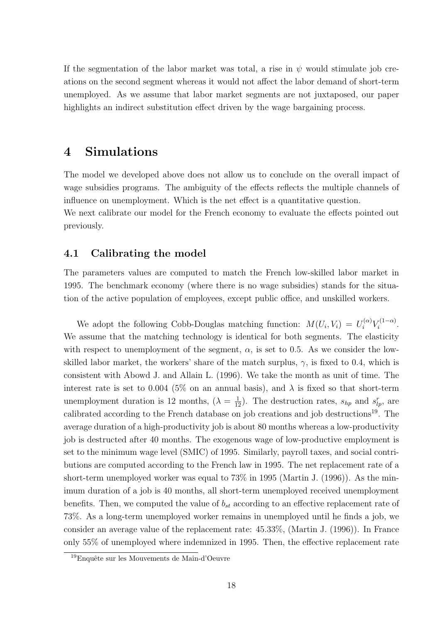If the segmentation of the labor market was total, a rise in  $\psi$  would stimulate job creations on the second segment whereas it would not affect the labor demand of short-term unemployed. As we assume that labor market segments are not juxtaposed, our paper highlights an indirect substitution effect driven by the wage bargaining process.

## 4 Simulations

The model we developed above does not allow us to conclude on the overall impact of wage subsidies programs. The ambiguity of the effects reflects the multiple channels of influence on unemployment. Which is the net effect is a quantitative question. We next calibrate our model for the French economy to evaluate the effects pointed out previously.

### 4.1 Calibrating the model

The parameters values are computed to match the French low-skilled labor market in 1995. The benchmark economy (where there is no wage subsidies) stands for the situation of the active population of employees, except public office, and unskilled workers.

We adopt the following Cobb-Douglas matching function:  $M(U_i, V_i) = U_i^{(\alpha)} V_i^{(1-\alpha)}$  $i^{(1-\alpha)}$ . We assume that the matching technology is identical for both segments. The elasticity with respect to unemployment of the segment,  $\alpha$ , is set to 0.5. As we consider the lowskilled labor market, the workers' share of the match surplus,  $\gamma$ , is fixed to 0.4, which is consistent with Abowd J. and Allain L. (1996). We take the month as unit of time. The interest rate is set to 0.004 (5% on an annual basis), and  $\lambda$  is fixed so that short-term unemployment duration is 12 months,  $(\lambda = \frac{1}{12})$ . The destruction rates,  $s_{hp}$  and  $s_{lp}^r$ , are calibrated according to the French database on job creations and job destructions<sup>19</sup>. The average duration of a high-productivity job is about 80 months whereas a low-productivity job is destructed after 40 months. The exogenous wage of low-productive employment is set to the minimum wage level (SMIC) of 1995. Similarly, payroll taxes, and social contributions are computed according to the French law in 1995. The net replacement rate of a short-term unemployed worker was equal to 73% in 1995 (Martin J. (1996)). As the minimum duration of a job is 40 months, all short-term unemployed received unemployment benefits. Then, we computed the value of  $b_{st}$  according to an effective replacement rate of 73%. As a long-term unemployed worker remains in unemployed until he finds a job, we consider an average value of the replacement rate: 45.33%, (Martin J. (1996)). In France only 55% of unemployed where indemnized in 1995. Then, the effective replacement rate

<sup>&</sup>lt;sup>19</sup>Enquête sur les Mouvements de Main-d'Oeuvre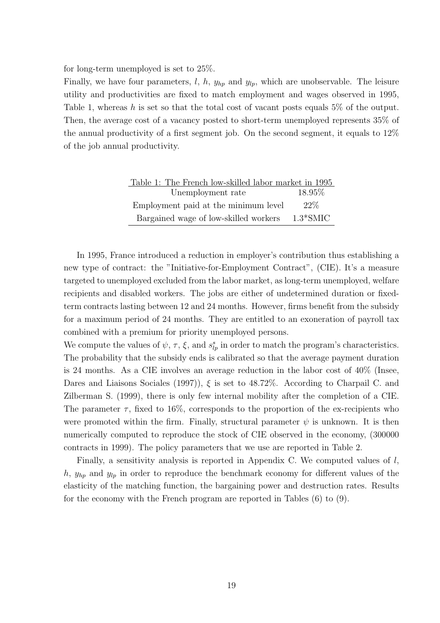for long-term unemployed is set to 25%.

Finally, we have four parameters,  $l, h, y_{hp}$  and  $y_{lp}$ , which are unobservable. The leisure utility and productivities are fixed to match employment and wages observed in 1995, Table 1, whereas h is set so that the total cost of vacant posts equals 5% of the output. Then, the average cost of a vacancy posted to short-term unemployed represents 35% of the annual productivity of a first segment job. On the second segment, it equals to 12% of the job annual productivity.

| Table 1: The French low-skilled labor market in 1995 |            |
|------------------------------------------------------|------------|
| Unemployment rate                                    | 18.95\%    |
| Employment paid at the minimum level                 | $22\%$     |
| Bargained wage of low-skilled workers                | $1.3*SMIC$ |

In 1995, France introduced a reduction in employer's contribution thus establishing a new type of contract: the "Initiative-for-Employment Contract", (CIE). It's a measure targeted to unemployed excluded from the labor market, as long-term unemployed, welfare recipients and disabled workers. The jobs are either of undetermined duration or fixedterm contracts lasting between 12 and 24 months. However, firms benefit from the subsidy for a maximum period of 24 months. They are entitled to an exoneration of payroll tax combined with a premium for priority unemployed persons.

We compute the values of  $\psi$ ,  $\tau$ ,  $\xi$ , and  $s_{lp}^s$  in order to match the program's characteristics. The probability that the subsidy ends is calibrated so that the average payment duration is 24 months. As a CIE involves an average reduction in the labor cost of 40% (Insee, Dares and Liaisons Sociales (1997)),  $\xi$  is set to 48.72%. According to Charpail C. and Zilberman S. (1999), there is only few internal mobility after the completion of a CIE. The parameter  $\tau$ , fixed to 16%, corresponds to the proportion of the ex-recipients who were promoted within the firm. Finally, structural parameter  $\psi$  is unknown. It is then numerically computed to reproduce the stock of CIE observed in the economy, (300000 contracts in 1999). The policy parameters that we use are reported in Table 2.

Finally, a sensitivity analysis is reported in Appendix C. We computed values of l, h,  $y_{hp}$  and  $y_{lp}$  in order to reproduce the benchmark economy for different values of the elasticity of the matching function, the bargaining power and destruction rates. Results for the economy with the French program are reported in Tables (6) to (9).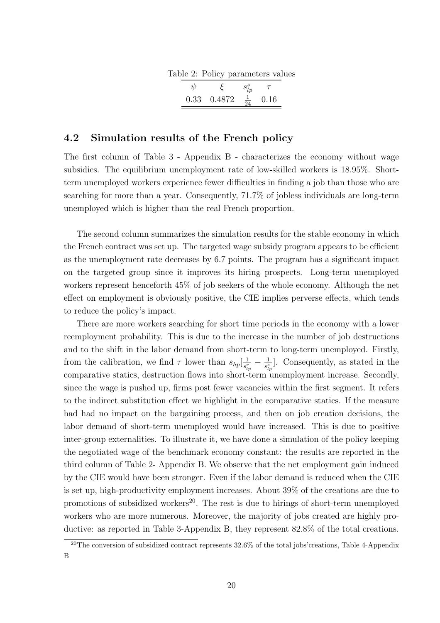|  | Table 2: Policy parameters values |  |
|--|-----------------------------------|--|
|  |                                   |  |

| $0.33 \quad 0.4872$ | 0.16 |
|---------------------|------|
|                     |      |

### 4.2 Simulation results of the French policy

The first column of Table 3 - Appendix B - characterizes the economy without wage subsidies. The equilibrium unemployment rate of low-skilled workers is 18.95%. Shortterm unemployed workers experience fewer difficulties in finding a job than those who are searching for more than a year. Consequently, 71.7% of jobless individuals are long-term unemployed which is higher than the real French proportion.

The second column summarizes the simulation results for the stable economy in which the French contract was set up. The targeted wage subsidy program appears to be efficient as the unemployment rate decreases by 6.7 points. The program has a significant impact on the targeted group since it improves its hiring prospects. Long-term unemployed workers represent henceforth 45% of job seekers of the whole economy. Although the net effect on employment is obviously positive, the CIE implies perverse effects, which tends to reduce the policy's impact.

There are more workers searching for short time periods in the economy with a lower reemployment probability. This is due to the increase in the number of job destructions and to the shift in the labor demand from short-term to long-term unemployed. Firstly, from the calibration, we find  $\tau$  lower than  $s_{hp}[\frac{1}{s^r}]$  $\frac{1}{s^r_{lp}}-\frac{1}{s^s_{lj}}$  $\frac{1}{s_{lp}^s}$ . Consequently, as stated in the comparative statics, destruction flows into short-term unemployment increase. Secondly, since the wage is pushed up, firms post fewer vacancies within the first segment. It refers to the indirect substitution effect we highlight in the comparative statics. If the measure had had no impact on the bargaining process, and then on job creation decisions, the labor demand of short-term unemployed would have increased. This is due to positive inter-group externalities. To illustrate it, we have done a simulation of the policy keeping the negotiated wage of the benchmark economy constant: the results are reported in the third column of Table 2- Appendix B. We observe that the net employment gain induced by the CIE would have been stronger. Even if the labor demand is reduced when the CIE is set up, high-productivity employment increases. About 39% of the creations are due to promotions of subsidized workers<sup>20</sup>. The rest is due to hirings of short-term unemployed workers who are more numerous. Moreover, the majority of jobs created are highly productive: as reported in Table 3-Appendix B, they represent 82.8% of the total creations.

 $20$ The conversion of subsidized contract represents  $32.6\%$  of the total jobs'creations, Table 4-Appendix B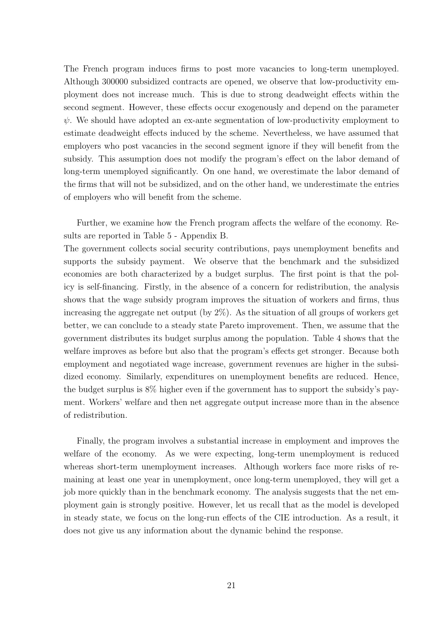The French program induces firms to post more vacancies to long-term unemployed. Although 300000 subsidized contracts are opened, we observe that low-productivity employment does not increase much. This is due to strong deadweight effects within the second segment. However, these effects occur exogenously and depend on the parameter  $\psi$ . We should have adopted an ex-ante segmentation of low-productivity employment to estimate deadweight effects induced by the scheme. Nevertheless, we have assumed that employers who post vacancies in the second segment ignore if they will benefit from the subsidy. This assumption does not modify the program's effect on the labor demand of long-term unemployed significantly. On one hand, we overestimate the labor demand of the firms that will not be subsidized, and on the other hand, we underestimate the entries of employers who will benefit from the scheme.

Further, we examine how the French program affects the welfare of the economy. Results are reported in Table 5 - Appendix B.

The government collects social security contributions, pays unemployment benefits and supports the subsidy payment. We observe that the benchmark and the subsidized economies are both characterized by a budget surplus. The first point is that the policy is self-financing. Firstly, in the absence of a concern for redistribution, the analysis shows that the wage subsidy program improves the situation of workers and firms, thus increasing the aggregate net output (by 2%). As the situation of all groups of workers get better, we can conclude to a steady state Pareto improvement. Then, we assume that the government distributes its budget surplus among the population. Table 4 shows that the welfare improves as before but also that the program's effects get stronger. Because both employment and negotiated wage increase, government revenues are higher in the subsidized economy. Similarly, expenditures on unemployment benefits are reduced. Hence, the budget surplus is 8% higher even if the government has to support the subsidy's payment. Workers' welfare and then net aggregate output increase more than in the absence of redistribution.

Finally, the program involves a substantial increase in employment and improves the welfare of the economy. As we were expecting, long-term unemployment is reduced whereas short-term unemployment increases. Although workers face more risks of remaining at least one year in unemployment, once long-term unemployed, they will get a job more quickly than in the benchmark economy. The analysis suggests that the net employment gain is strongly positive. However, let us recall that as the model is developed in steady state, we focus on the long-run effects of the CIE introduction. As a result, it does not give us any information about the dynamic behind the response.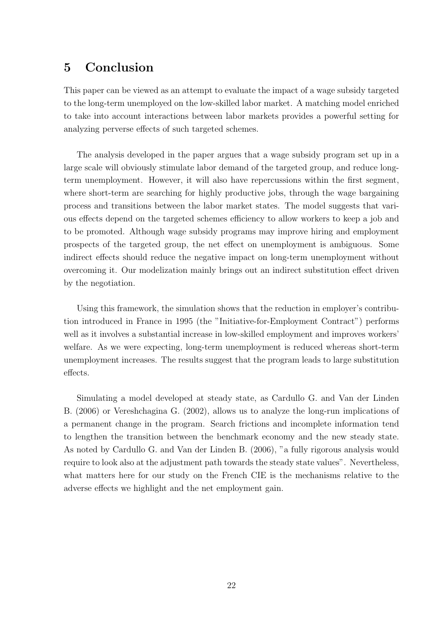## 5 Conclusion

This paper can be viewed as an attempt to evaluate the impact of a wage subsidy targeted to the long-term unemployed on the low-skilled labor market. A matching model enriched to take into account interactions between labor markets provides a powerful setting for analyzing perverse effects of such targeted schemes.

The analysis developed in the paper argues that a wage subsidy program set up in a large scale will obviously stimulate labor demand of the targeted group, and reduce longterm unemployment. However, it will also have repercussions within the first segment, where short-term are searching for highly productive jobs, through the wage bargaining process and transitions between the labor market states. The model suggests that various effects depend on the targeted schemes efficiency to allow workers to keep a job and to be promoted. Although wage subsidy programs may improve hiring and employment prospects of the targeted group, the net effect on unemployment is ambiguous. Some indirect effects should reduce the negative impact on long-term unemployment without overcoming it. Our modelization mainly brings out an indirect substitution effect driven by the negotiation.

Using this framework, the simulation shows that the reduction in employer's contribution introduced in France in 1995 (the "Initiative-for-Employment Contract") performs well as it involves a substantial increase in low-skilled employment and improves workers' welfare. As we were expecting, long-term unemployment is reduced whereas short-term unemployment increases. The results suggest that the program leads to large substitution effects.

Simulating a model developed at steady state, as Cardullo G. and Van der Linden B. (2006) or Vereshchagina G. (2002), allows us to analyze the long-run implications of a permanent change in the program. Search frictions and incomplete information tend to lengthen the transition between the benchmark economy and the new steady state. As noted by Cardullo G. and Van der Linden B. (2006), "a fully rigorous analysis would require to look also at the adjustment path towards the steady state values". Nevertheless, what matters here for our study on the French CIE is the mechanisms relative to the adverse effects we highlight and the net employment gain.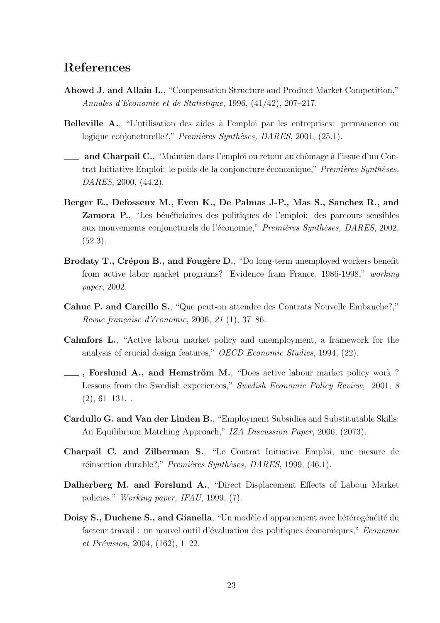## References

- Abowd J. and Allain L., "Compensation Structure and Product Market Competition," Annales d'Economie et de Statistique, 1996, (41/42), 207–217.
- Belleville A., "L'utilisation des aides à l'emploi par les entreprises: permanence ou logique conjoncturelle?," Premières Synthèses, DARES, 2001, (25.1).
- and Charpail C., "Maintien dans l'emploi ou retour au chômage à l'issue d'un Contrat Initiative Emploi: le poids de la conjoncture économique," Premières Synthèses, DARES, 2000, (44.2).
- Berger E., Defosseux M., Even K., De Palmas J-P., Mas S., Sanchez R., and Zamora P., "Les bénéficiaires des politiques de l'emploi: des parcours sensibles aux mouvements conjoncturels de l'économie," Premières Synthèses, DARES, 2002, (52.3).
- Brodaty T., Crépon B., and Fougère D., "Do long-term unemployed workers benefit from active labor market programs? Evidence fram France, 1986-1998," working paper, 2002.
- Cahuc P. and Carcillo S., "Que peut-on attendre des Contrats Nouvelle Embauche?," Revue française d'économie,  $2006, 21(1), 37-86.$
- Calmfors L., "Active labour market policy and unemployment, a framework for the analysis of crucial design features," OECD Economic Studies, 1994, (22).
- , Forslund A., and Hemström M., "Does active labour market policy work? Lessons from the Swedish experiences," Swedish Economic Policy Review, 2001, 8  $(2), 61-131.$
- Cardullo G. and Van der Linden B., "Employment Subsidies and Substitutable Skills: An Equilibrium Matching Approach," IZA Discussion Paper, 2006, (2073).
- Charpail C. and Zilberman S., "Le Contrat Initiative Emploi, une mesure de réinsertion durable?," Premières Synthèses, DARES, 1999, (46.1).
- Dalherberg M. and Forslund A., "Direct Displacement Effects of Labour Market policies," Working paper, IFAU, 1999, (7).
- Doisy S., Duchene S., and Gianella, "Un modèle d'appariement avec hétérogénéité du facteur travail : un nouvel outil d'évaluation des politiques économiques," Economie et Prévision, 2004,  $(162)$ , 1–22.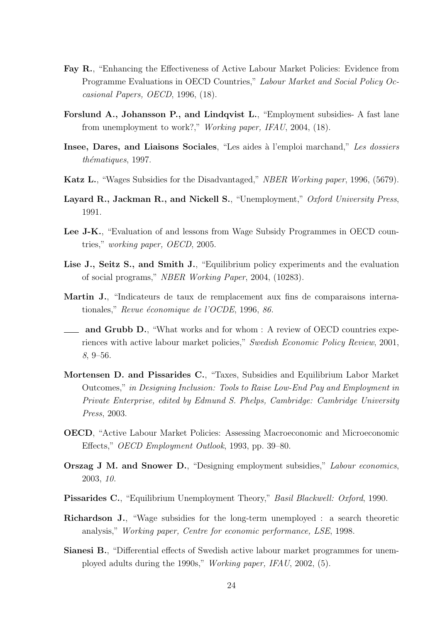- Fay R., "Enhancing the Effectiveness of Active Labour Market Policies: Evidence from Programme Evaluations in OECD Countries," Labour Market and Social Policy Occasional Papers, OECD, 1996, (18).
- Forslund A., Johansson P., and Lindqvist L., "Employment subsidies- A fast lane from unemployment to work?," Working paper, IFAU, 2004, (18).
- Insee, Dares, and Liaisons Sociales, "Les aides à l'emploi marchand," Les dossiers thématiques, 1997.
- Katz L., "Wages Subsidies for the Disadvantaged," NBER Working paper, 1996, (5679).
- Layard R., Jackman R., and Nickell S., "Unemployment," Oxford University Press, 1991.
- Lee J-K., "Evaluation of and lessons from Wage Subsidy Programmes in OECD countries," working paper, OECD, 2005.
- Lise J., Seitz S., and Smith J., "Equilibrium policy experiments and the evaluation of social programs," NBER Working Paper, 2004, (10283).
- Martin J., "Indicateurs de taux de remplacement aux fins de comparaisons internationales," Revue économique de l'OCDE, 1996, 86.
- and Grubb D., "What works and for whom : A review of OECD countries experiences with active labour market policies," Swedish Economic Policy Review, 2001, 8, 9–56.
- Mortensen D. and Pissarides C., "Taxes, Subsidies and Equilibrium Labor Market Outcomes," in Designing Inclusion: Tools to Raise Low-End Pay and Employment in Private Enterprise, edited by Edmund S. Phelps, Cambridge: Cambridge University Press, 2003.
- OECD, "Active Labour Market Policies: Assessing Macroeconomic and Microeconomic Effects," OECD Employment Outlook, 1993, pp. 39–80.
- Orszag J M. and Snower D., "Designing employment subsidies," Labour economics, 2003, 10.
- Pissarides C., "Equilibrium Unemployment Theory," Basil Blackwell: Oxford, 1990.
- Richardson J., "Wage subsidies for the long-term unemployed : a search theoretic analysis," Working paper, Centre for economic performance, LSE, 1998.
- Sianesi B., "Differential effects of Swedish active labour market programmes for unemployed adults during the 1990s," Working paper, IFAU, 2002, (5).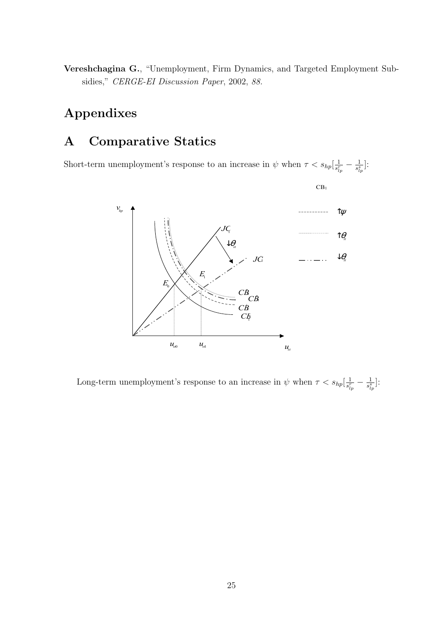Vereshchagina G., "Unemployment, Firm Dynamics, and Targeted Employment Subsidies," CERGE-EI Discussion Paper, 2002, 88.

# Appendixes

## A Comparative Statics

Short-term unemployment's response to an increase in  $\psi$  when  $\tau < s_{hp}[\frac{1}{s^2}]$  $\frac{1}{s^r_{lp}}-\frac{1}{s^s_{lj}}$  $\frac{1}{s_{lp}^s}$ :



Long-term unemployment's response to an increase in  $\psi$  when  $\tau < s_{hp}[\frac{1}{s^p}]$  $\frac{1}{s^r_{lp}}-\frac{1}{s^s_{lj}}$  $\frac{1}{s_{lp}^s}$ :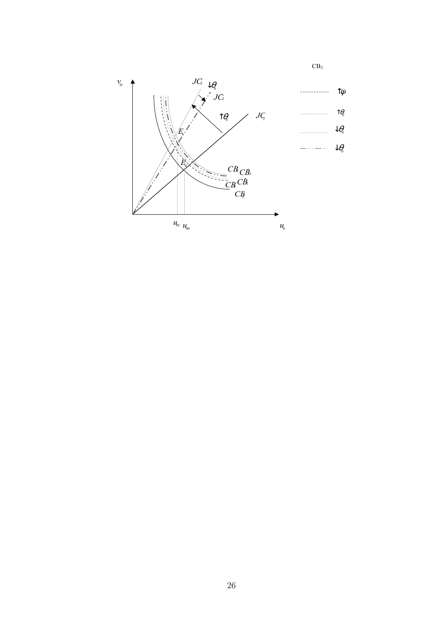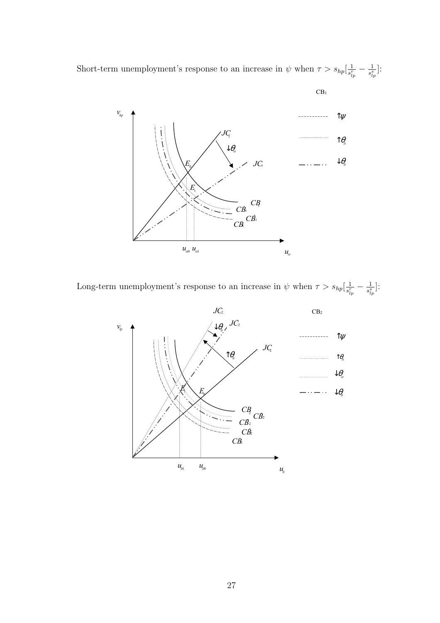Short-term unemployment's response to an increase in  $\psi$  when  $\tau > s_{hp}[\frac{1}{s^2}]$  $\frac{1}{s^r_{lp}}-\frac{1}{s^s_{lj}}$  $\frac{1}{s_{lp}^s}$ :



Long-term unemployment's response to an increase in  $\psi$  when  $\tau > s_{hp}[\frac{1}{s^p}]$  $\frac{1}{s^r_{lp}}-\frac{1}{s^s_{lj}}$  $\frac{1}{s_{lp}^s}$ :

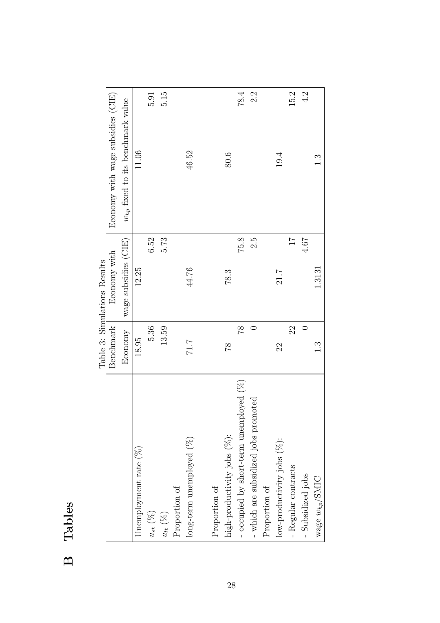|                                         |               | Table 3: Simulations Results |                                       |
|-----------------------------------------|---------------|------------------------------|---------------------------------------|
|                                         | Benchmark     | Economy with                 | Economy with wage subsidies (CIE)     |
|                                         | Economy       | wage subsidies (CIE)         | $w_{hp}$ fixed to its benchmark value |
| Unemployment rate $(\%)$                | 18.95         | 12.25                        | 11.06                                 |
| $u_{st}~(\%)$                           | 5.36          | 6.52                         | 5.91                                  |
| $u_{lt}(\%)$                            | 13.59         | 5.73                         | 5.15                                  |
| Proportion of                           |               |                              |                                       |
| $\log$ -term unemployed $(\%)$          | 7.17          | 44.76                        | 46.52                                 |
|                                         |               |                              |                                       |
| Proportion of                           |               |                              |                                       |
| high-productivity jobs (%):             | 81            | 78.3                         | 80.6                                  |
| - occupied by short-term unemployed (%) | 87            | 75.8                         | 78.4                                  |
| - which are subsidized jobs promoted    |               | S.G                          | 2.2                                   |
| Proportion of                           |               |                              |                                       |
| low-productivity jobs $(\%)$ :          | 22            | 21.7                         | 19.4                                  |
| - Regular contracts                     | 22            | $\overline{17}$              | 15.2                                  |
| - Subsidized jobs                       |               | 4.67                         | 4.2                                   |
| wage $w_{hp}/\text{SMIC}$               | $\frac{3}{1}$ | 1.3131                       | م.<br>1                               |

# Table 3: Simulations Results Ė  $\overline{C}$  $\ddot{\cdot}$  $\dot{\epsilon}$  $\epsilon$  $T_{\rm e}$

B Tables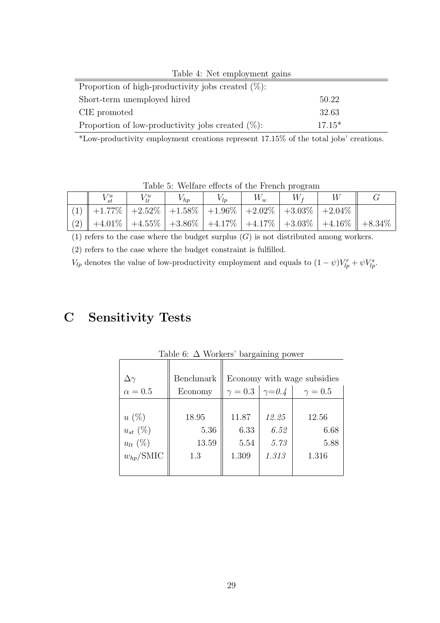| Table 4: Net employment gains                         |          |  |  |  |
|-------------------------------------------------------|----------|--|--|--|
| Proportion of high-productivity jobs created $(\%)$ : |          |  |  |  |
| Short-term unemployed hired                           | 50.22    |  |  |  |
| CIE promoted                                          | 32.63    |  |  |  |
| Proportion of low-productivity jobs created $(\%)$ :  | $17.15*$ |  |  |  |

\*Low-productivity employment creations represent 17.15% of the total jobs' creations.

| TOUR OF TRUIDED CHUCUS OF THE FRUIDED DEVELOIL                      |            |          |          |       |             |  |                                                                               |
|---------------------------------------------------------------------|------------|----------|----------|-------|-------------|--|-------------------------------------------------------------------------------|
| $V_{st}^u$                                                          | $V_{lt}^u$ | $V_{hp}$ | $V_{ln}$ | $W_w$ | $W_{\rm f}$ |  |                                                                               |
| (1)    +1.77%   +2.52%   +1.58%   +1.96%   +2.02%   +3.03%   +2.04% |            |          |          |       |             |  |                                                                               |
|                                                                     |            |          |          |       |             |  | (2)    +4.01%   +4.55%   +3.86%   +4.17%   +4.17%   +3.03%   +4.16%    +8.34% |

Table 5: Welfare effects of the French program

(1) refers to the case where the budget surplus  $(G)$  is not distributed among workers.

(2) refers to the case where the budget constraint is fulfilled.

 $V_{lp}$  denotes the value of low-productivity employment and equals to  $(1 - \psi)V_{lp}^r + \psi V_{lp}^s$ .

## C Sensitivity Tests

|                      |           |                                  | ◡     |              |  |  |
|----------------------|-----------|----------------------------------|-------|--------------|--|--|
|                      |           |                                  |       |              |  |  |
| $\Delta \gamma$      | Benchmark | Economy with wage subsidies      |       |              |  |  |
| $\alpha = 0.5$       | Economy   | $\gamma = 0.3 \mid \gamma = 0.4$ |       | $\gamma=0.5$ |  |  |
|                      |           |                                  |       |              |  |  |
| $u(\%)$              | 18.95     | 11.87                            | 12.25 | 12.56        |  |  |
| $u_{st}(\%)$         | 5.36      | 6.33                             | 6.52  | 6.68         |  |  |
| $u_{lt}$ (%)         | 13.59     | 5.54                             | 5.73  | 5.88         |  |  |
| $w_{hp}/\text{SMIC}$ | 1.3       | 1.309                            | 1.313 | 1.316        |  |  |
|                      |           |                                  |       |              |  |  |

Table 6: ∆ Workers' bargaining power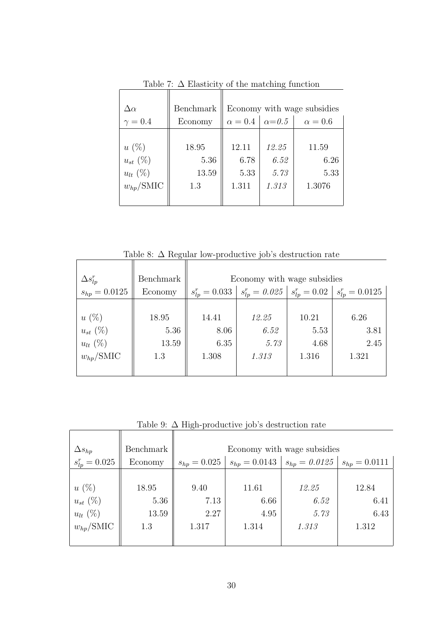| $\Delta\alpha$       | Benchmark | Economy with wage subsidies      |       |                |  |  |
|----------------------|-----------|----------------------------------|-------|----------------|--|--|
| $\gamma = 0.4$       | Economy   | $\alpha = 0.4 \mid \alpha = 0.5$ |       | $\alpha = 0.6$ |  |  |
|                      |           |                                  |       |                |  |  |
| $u(\%)$              | 18.95     | 12.11                            | 12.25 | 11.59          |  |  |
| $u_{st}(\%)$         | 5.36      | 6.78                             | 6.52  | 6.26           |  |  |
| $u_{lt}$ (%)         | 13.59     | 5.33                             | 5.73  | 5.33           |  |  |
| $w_{hp}/\text{SMIC}$ | 1.3       | 1.311                            | 1.313 | 1.3076         |  |  |
|                      |           |                                  |       |                |  |  |

Table 7:  $\Delta$  Elasticity of the matching function

Table 8:  $\Delta$  Regular low-productive job's destruction rate

| $\Delta s_{lp}^r$    | Benchmark | Economy with wage subsidies |                    |                   |                     |  |  |  |
|----------------------|-----------|-----------------------------|--------------------|-------------------|---------------------|--|--|--|
| $s_{hp} = 0.0125$    | Economy   | $s_{lp}^r = 0.033$          | $s_{lp}^r = 0.025$ | $s_{lp}^r = 0.02$ | $s_{lp}^r = 0.0125$ |  |  |  |
|                      |           |                             |                    |                   |                     |  |  |  |
| $u(\%)$              | 18.95     | 14.41                       | 12.25              | 10.21             | 6.26                |  |  |  |
| $u_{st}(\%)$         | 5.36      | 8.06                        | 6.52               | 5.53              | 3.81                |  |  |  |
| $u_{lt}$ (%)         | 13.59     | 6.35                        | 5.73               | 4.68              | 2.45                |  |  |  |
| $w_{hp}/\text{SMIC}$ | 1.3       | 1.308                       | 1.313              | 1.316             | 1.321               |  |  |  |
|                      |           |                             |                    |                   |                     |  |  |  |

Table 9:  $\Delta$  High-productive job's destruction rate

|                      |           | $\cup$                      |                   |                     |                   |  |  |
|----------------------|-----------|-----------------------------|-------------------|---------------------|-------------------|--|--|
| $\Delta s_{hp}$      | Benchmark | Economy with wage subsidies |                   |                     |                   |  |  |
| $s_{lp}^r = 0.025$   | Economy   | $s_{hp} = 0.025$            | $s_{hp} = 0.0143$ | $ s_{hp} = 0.0125 $ | $s_{hp} = 0.0111$ |  |  |
|                      |           |                             |                   |                     |                   |  |  |
| $u(\%)$              | 18.95     | 9.40                        | 11.61             | 12.25               | 12.84             |  |  |
| $u_{st}(\%)$         | 5.36      | 7.13                        | 6.66              | 6.52                | 6.41              |  |  |
| $u_{lt}$ (%)         | 13.59     | 2.27                        | 4.95              | 5.73                | 6.43              |  |  |
| $w_{hp}/\text{SMIC}$ | 1.3       | 1.317                       | 1.314             | 1.313               | 1.312             |  |  |
|                      |           |                             |                   |                     |                   |  |  |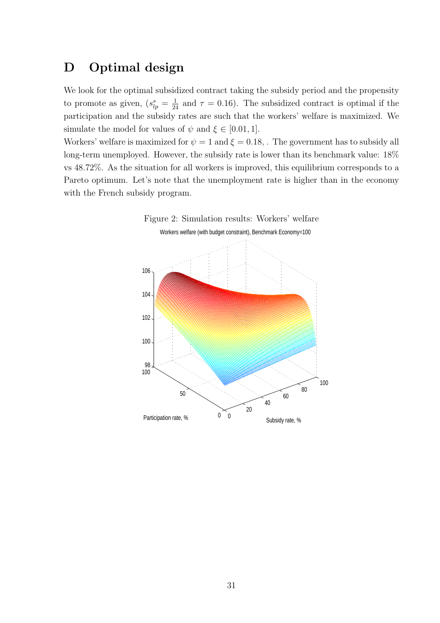## D Optimal design

We look for the optimal subsidized contract taking the subsidy period and the propensity to promote as given,  $(s_{lp}^s = \frac{1}{24}$  and  $\tau = 0.16$ ). The subsidized contract is optimal if the participation and the subsidy rates are such that the workers' welfare is maximized. We simulate the model for values of  $\psi$  and  $\xi \in [0.01, 1]$ .

Workers' welfare is maximized for  $\psi = 1$  and  $\xi = 0.18$ . The government has to subsidy all long-term unemployed. However, the subsidy rate is lower than its benchmark value: 18% vs 48.72%. As the situation for all workers is improved, this equilibrium corresponds to a Pareto optimum. Let's note that the unemployment rate is higher than in the economy with the French subsidy program.